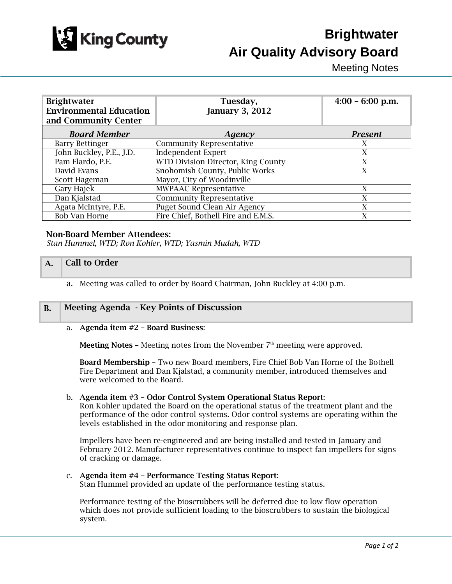

# **Brightwater Air Quality Advisory Board**

Meeting Notes

| <b>Brightwater</b><br><b>Environmental Education</b><br>and Community Center | Tuesday,<br><b>January 3, 2012</b>  | $4:00 - 6:00$ p.m. |
|------------------------------------------------------------------------------|-------------------------------------|--------------------|
| <b>Board Member</b>                                                          | Agency                              | <b>Present</b>     |
| <b>Barry Bettinger</b>                                                       | <b>Community Representative</b>     | X                  |
| John Buckley, P.E., J.D.                                                     | <b>Independent Expert</b>           | X                  |
| Pam Elardo, P.E.                                                             | WTD Division Director, King County  | X                  |
| David Evans                                                                  | Snohomish County, Public Works      | X                  |
| Scott Hageman                                                                | Mayor, City of Woodinville          |                    |
| Gary Hajek                                                                   | <b>MWPAAC Representative</b>        | X                  |
| Dan Kjalstad                                                                 | <b>Community Representative</b>     | X                  |
| Agata McIntyre, P.E.                                                         | Puget Sound Clean Air Agency        | $\mathbf{X}$       |
| <b>Bob Van Horne</b>                                                         | Fire Chief, Bothell Fire and E.M.S. | X                  |

# Non-Board Member Attendees:

*Stan Hummel, WTD; Ron Kohler, WTD; Yasmin Mudah, WTD* 

# A. Call to Order

a. Meeting was called to order by Board Chairman, John Buckley at 4:00 p.m.

# B. Meeting Agenda - Key Points of Discussion

## a. Agenda item #2 – Board Business:

**Meeting Notes –** Meeting notes from the November  $7<sup>th</sup>$  meeting were approved.

Board Membership – Two new Board members, Fire Chief Bob Van Horne of the Bothell Fire Department and Dan Kjalstad, a community member, introduced themselves and were welcomed to the Board.

#### b. Agenda item #3 – Odor Control System Operational Status Report:

Ron Kohler updated the Board on the operational status of the treatment plant and the performance of the odor control systems. Odor control systems are operating within the levels established in the odor monitoring and response plan.

Impellers have been re-engineered and are being installed and tested in January and February 2012. Manufacturer representatives continue to inspect fan impellers for signs of cracking or damage.

# c. Agenda item #4 – Performance Testing Status Report:

Stan Hummel provided an update of the performance testing status.

Performance testing of the bioscrubbers will be deferred due to low flow operation which does not provide sufficient loading to the bioscrubbers to sustain the biological system.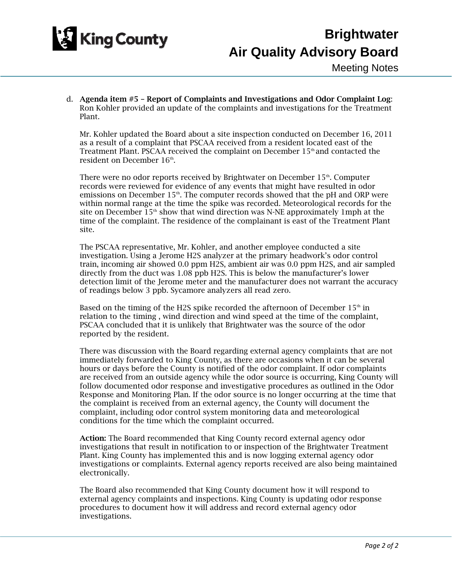

d. Agenda item #5 – Report of Complaints and Investigations and Odor Complaint Log: Ron Kohler provided an update of the complaints and investigations for the Treatment Plant.

Mr. Kohler updated the Board about a site inspection conducted on December 16, 2011 as a result of a complaint that PSCAA received from a resident located east of the Treatment Plant. PSCAA received the complaint on December  $15<sup>th</sup>$  and contacted the resident on December 16<sup>th</sup>

There were no odor reports received by Brightwater on December 15<sup>th</sup>. Computer records were reviewed for evidence of any events that might have resulted in odor emissions on December 15<sup>th</sup>. The computer records showed that the pH and ORP were within normal range at the time the spike was recorded. Meteorological records for the site on December  $15<sup>th</sup>$  show that wind direction was N-NE approximately 1mph at the time of the complaint. The residence of the complainant is east of the Treatment Plant site.

The PSCAA representative, Mr. Kohler, and another employee conducted a site investigation. Using a Jerome H2S analyzer at the primary headwork's odor control train, incoming air showed 0.0 ppm H2S, ambient air was 0.0 ppm H2S, and air sampled directly from the duct was 1.08 ppb H2S. This is below the manufacturer's lower detection limit of the Jerome meter and the manufacturer does not warrant the accuracy of readings below 3 ppb. Sycamore analyzers all read zero.

Based on the timing of the H2S spike recorded the afternoon of December  $15<sup>th</sup>$  in relation to the timing , wind direction and wind speed at the time of the complaint, PSCAA concluded that it is unlikely that Brightwater was the source of the odor reported by the resident.

There was discussion with the Board regarding external agency complaints that are not immediately forwarded to King County, as there are occasions when it can be several hours or days before the County is notified of the odor complaint. If odor complaints are received from an outside agency while the odor source is occurring, King County will follow documented odor response and investigative procedures as outlined in the Odor Response and Monitoring Plan. If the odor source is no longer occurring at the time that the complaint is received from an external agency, the County will document the complaint, including odor control system monitoring data and meteorological conditions for the time which the complaint occurred.

Action: The Board recommended that King County record external agency odor investigations that result in notification to or inspection of the Brightwater Treatment Plant. King County has implemented this and is now logging external agency odor investigations or complaints. External agency reports received are also being maintained electronically.

The Board also recommended that King County document how it will respond to external agency complaints and inspections. King County is updating odor response procedures to document how it will address and record external agency odor investigations.